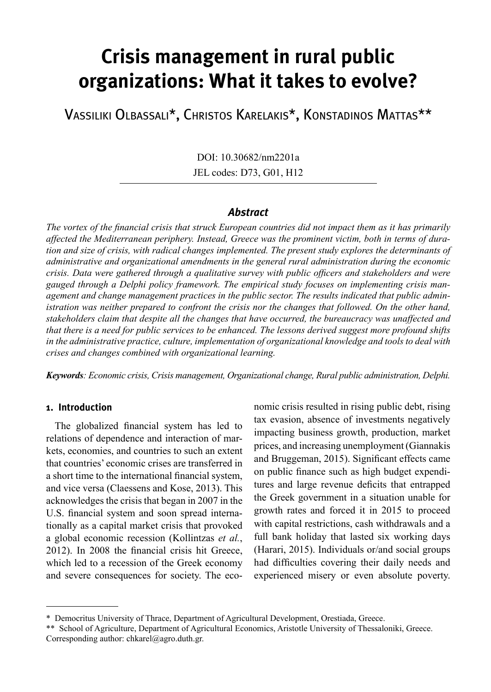# **Crisis management in rural public organizations: What it takes to evolve?**

Vassiliki Olbassali\*, Christos Karelakis\*, Konstadinos Mattas\*\*

DOI: 10.30682/nm2201a JEL codes: D73, G01, H12

#### *Abstract*

*The vortex of the financial crisis that struck European countries did not impact them as it has primarily affected the Mediterranean periphery. Instead, Greece was the prominent victim, both in terms of duration and size of crisis, with radical changes implemented. The present study explores the determinants of administrative and organizational amendments in the general rural administration during the economic crisis. Data were gathered through a qualitative survey with public officers and stakeholders and were gauged through a Delphi policy framework. The empirical study focuses on implementing crisis management and change management practices in the public sector. The results indicated that public administration was neither prepared to confront the crisis nor the changes that followed. On the other hand, stakeholders claim that despite all the changes that have occurred, the bureaucracy was unaffected and that there is a need for public services to be enhanced. The lessons derived suggest more profound shifts in the administrative practice, culture, implementation of organizational knowledge and tools to deal with crises and changes combined with organizational learning.*

*Keywords: Economic crisis, Crisis management, Organizational change, Rural public administration, Delphi.*

### **1. Introduction**

The globalized financial system has led to relations of dependence and interaction of markets, economies, and countries to such an extent that countries' economic crises are transferred in a short time to the international financial system, and vice versa (Claessens and Kose, 2013). This acknowledges the crisis that began in 2007 in the U.S. financial system and soon spread internationally as a capital market crisis that provoked a global economic recession (Kollintzas *et al.*, 2012). In 2008 the financial crisis hit Greece, which led to a recession of the Greek economy and severe consequences for society. The economic crisis resulted in rising public debt, rising tax evasion, absence of investments negatively impacting business growth, production, market prices, and increasing unemployment (Giannakis and Bruggeman, 2015). Significant effects came on public finance such as high budget expenditures and large revenue deficits that entrapped the Greek government in a situation unable for growth rates and forced it in 2015 to proceed with capital restrictions, cash withdrawals and a full bank holiday that lasted six working days (Harari, 2015). Individuals or/and social groups had difficulties covering their daily needs and experienced misery or even absolute poverty.

<sup>\*</sup> Democritus University of Thrace, Department of Agricultural Development, Orestiada, Greece.

<sup>\*\*</sup> School of Agriculture, Department of Agricultural Economics, Aristotle University of Thessaloniki, Greece. Corresponding author: chkarel@agro.duth.gr.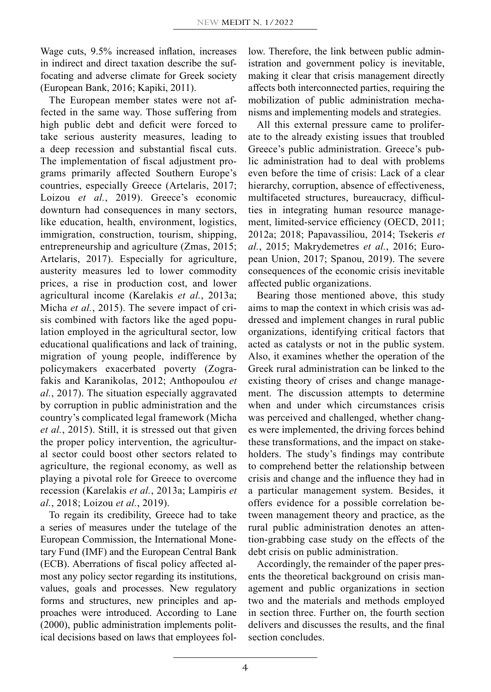Wage cuts, 9.5% increased inflation, increases in indirect and direct taxation describe the suffocating and adverse climate for Greek society (European Bank, 2016; Kapiki, 2011).

The European member states were not affected in the same way. Those suffering from high public debt and deficit were forced to take serious austerity measures, leading to a deep recession and substantial fiscal cuts. The implementation of fiscal adjustment programs primarily affected Southern Europe's countries, especially Greece (Artelaris, 2017; Loizou *et al.*, 2019). Greece's economic downturn had consequences in many sectors, like education, health, environment, logistics, immigration, construction, tourism, shipping, entrepreneurship and agriculture (Zmas, 2015; Artelaris, 2017). Especially for agriculture, austerity measures led to lower commodity prices, a rise in production cost, and lower agricultural income (Karelakis *et al.*, 2013a; Micha *et al.*, 2015). The severe impact of crisis combined with factors like the aged population employed in the agricultural sector, low educational qualifications and lack of training, migration of young people, indifference by policymakers exacerbated poverty (Zografakis and Karanikolas, 2012; Anthopoulou *et al.*, 2017). The situation especially aggravated by corruption in public administration and the country's complicated legal framework (Micha *et al.*, 2015). Still, it is stressed out that given the proper policy intervention, the agricultural sector could boost other sectors related to agriculture, the regional economy, as well as playing a pivotal role for Greece to overcome recession (Karelakis *et al.*, 2013a; Lampiris *et al.*, 2018; Loizou *et al.*, 2019).

To regain its credibility, Greece had to take a series of measures under the tutelage of the European Commission, the International Monetary Fund (IMF) and the European Central Bank (ECB). Aberrations of fiscal policy affected almost any policy sector regarding its institutions, values, goals and processes. New regulatory forms and structures, new principles and approaches were introduced. According to Lane (2000), public administration implements political decisions based on laws that employees follow. Therefore, the link between public administration and government policy is inevitable, making it clear that crisis management directly affects both interconnected parties, requiring the mobilization of public administration mechanisms and implementing models and strategies.

All this external pressure came to proliferate to the already existing issues that troubled Greece's public administration. Greece's public administration had to deal with problems even before the time of crisis: Lack of a clear hierarchy, corruption, absence of effectiveness, multifaceted structures, bureaucracy, difficulties in integrating human resource management, limited-service efficiency (OECD, 2011; 2012a; 2018; Papavassiliou, 2014; Tsekeris *et al.*, 2015; Makrydemetres *et al.*, 2016; European Union, 2017; Spanou, 2019). The severe consequences of the economic crisis inevitable affected public organizations.

Bearing those mentioned above, this study aims to map the context in which crisis was addressed and implement changes in rural public organizations, identifying critical factors that acted as catalysts or not in the public system. Also, it examines whether the operation of the Greek rural administration can be linked to the existing theory of crises and change management. The discussion attempts to determine when and under which circumstances crisis was perceived and challenged, whether changes were implemented, the driving forces behind these transformations, and the impact on stakeholders. The study's findings may contribute to comprehend better the relationship between crisis and change and the influence they had in a particular management system. Besides, it offers evidence for a possible correlation between management theory and practice, as the rural public administration denotes an attention-grabbing case study on the effects of the debt crisis on public administration.

Accordingly, the remainder of the paper presents the theoretical background on crisis management and public organizations in section two and the materials and methods employed in section three. Further on, the fourth section delivers and discusses the results, and the final section concludes.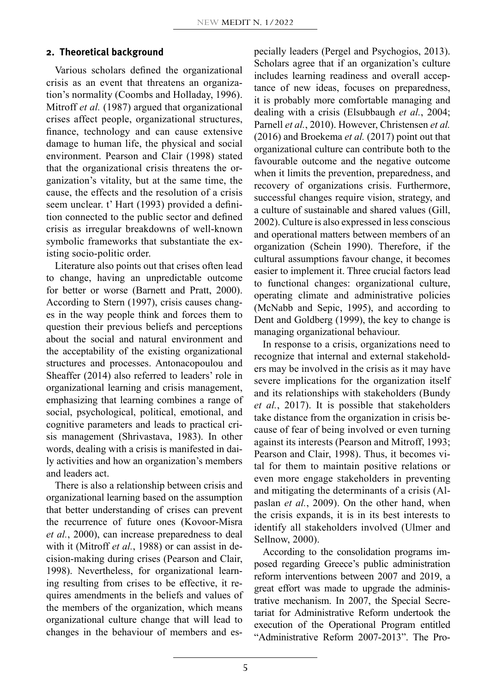#### **2. Theoretical background**

Various scholars defined the organizational crisis as an event that threatens an organization's normality (Coombs and Holladay, 1996). Mitroff *et al.* (1987) argued that organizational crises affect people, organizational structures, finance, technology and can cause extensive damage to human life, the physical and social environment. Pearson and Clair (1998) stated that the organizational crisis threatens the organization's vitality, but at the same time, the cause, the effects and the resolution of a crisis seem unclear. t' Hart (1993) provided a definition connected to the public sector and defined crisis as irregular breakdowns of well-known symbolic frameworks that substantiate the existing socio-politic order.

Literature also points out that crises often lead to change, having an unpredictable outcome for better or worse (Barnett and Pratt, 2000). According to Stern (1997), crisis causes changes in the way people think and forces them to question their previous beliefs and perceptions about the social and natural environment and the acceptability of the existing organizational structures and processes. Antonacopoulou and Sheaffer (2014) also referred to leaders' role in organizational learning and crisis management, emphasizing that learning combines a range of social, psychological, political, emotional, and cognitive parameters and leads to practical crisis management (Shrivastava, 1983). In other words, dealing with a crisis is manifested in daily activities and how an organization's members and leaders act.

There is also a relationship between crisis and organizational learning based on the assumption that better understanding of crises can prevent the recurrence of future ones (Kovoor-Misra *et al.*, 2000), can increase preparedness to deal with it (Mitroff *et al.*, 1988) or can assist in decision-making during crises (Pearson and Clair, 1998). Nevertheless, for organizational learning resulting from crises to be effective, it requires amendments in the beliefs and values of the members of the organization, which means organizational culture change that will lead to changes in the behaviour of members and especially leaders (Pergel and Psychogios, 2013). Scholars agree that if an organization's culture includes learning readiness and overall acceptance of new ideas, focuses on preparedness, it is probably more comfortable managing and dealing with a crisis (Elsubbaugh *et al.*, 2004; Parnell *et al.*, 2010). However, Christensen *et al.* (2016) and Broekema *et al.* (2017) point out that organizational culture can contribute both to the favourable outcome and the negative outcome when it limits the prevention, preparedness, and recovery of organizations crisis. Furthermore, successful changes require vision, strategy, and a culture of sustainable and shared values (Gill, 2002). Culture is also expressed in less conscious and operational matters between members of an organization (Schein 1990). Therefore, if the cultural assumptions favour change, it becomes easier to implement it. Three crucial factors lead to functional changes: organizational culture, operating climate and administrative policies (McNabb and Sepic, 1995), and according to Dent and Goldberg (1999), the key to change is managing organizational behaviour.

In response to a crisis, organizations need to recognize that internal and external stakeholders may be involved in the crisis as it may have severe implications for the organization itself and its relationships with stakeholders (Bundy *et al.*, 2017). It is possible that stakeholders take distance from the organization in crisis because of fear of being involved or even turning against its interests (Pearson and Mitroff, 1993; Pearson and Clair, 1998). Thus, it becomes vital for them to maintain positive relations or even more engage stakeholders in preventing and mitigating the determinants of a crisis (Alpaslan *et al.*, 2009). On the other hand, when the crisis expands, it is in its best interests to identify all stakeholders involved (Ulmer and Sellnow, 2000).

According to the consolidation programs imposed regarding Greece's public administration reform interventions between 2007 and 2019, a great effort was made to upgrade the administrative mechanism. In 2007, the Special Secretariat for Administrative Reform undertook the execution of the Operational Program entitled "Administrative Reform 2007-2013". The Pro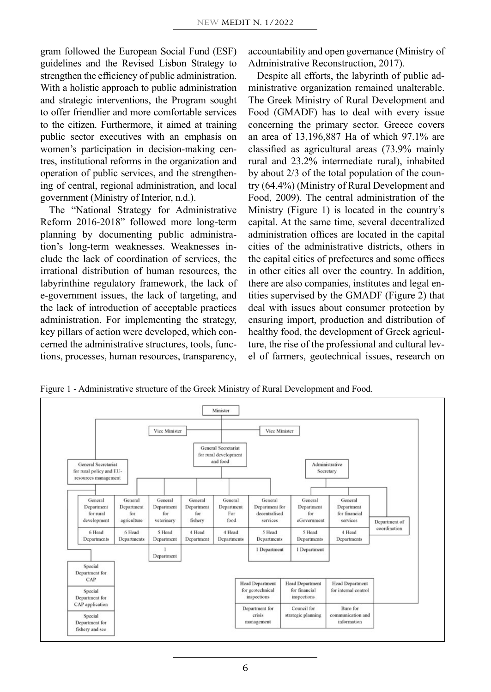gram followed the European Social Fund (ESF) guidelines and the Revised Lisbon Strategy to strengthen the efficiency of public administration. With a holistic approach to public administration and strategic interventions, the Program sought to offer friendlier and more comfortable services to the citizen. Furthermore, it aimed at training public sector executives with an emphasis on women's participation in decision-making centres, institutional reforms in the organization and operation of public services, and the strengthening of central, regional administration, and local government (Ministry of Interior, n.d.).

The "National Strategy for Administrative Reform 2016-2018" followed more long-term planning by documenting public administration's long-term weaknesses. Weaknesses include the lack of coordination of services, the irrational distribution of human resources, the labyrinthine regulatory framework, the lack of e-government issues, the lack of targeting, and the lack of introduction of acceptable practices administration. For implementing the strategy, key pillars of action were developed, which concerned the administrative structures, tools, functions, processes, human resources, transparency, accountability and open governance (Ministry of Administrative Reconstruction, 2017).

Despite all efforts, the labyrinth of public administrative organization remained unalterable. The Greek Ministry of Rural Development and Food (GMADF) has to deal with every issue concerning the primary sector. Greece covers an area of 13,196,887 Ha of which 97.1% are classified as agricultural areas (73.9% mainly rural and 23.2% intermediate rural), inhabited by about 2/3 of the total population of the country (64.4%) (Ministry of Rural Development and Food, 2009). The central administration of the Ministry (Figure 1) is located in the country's capital. At the same time, several decentralized administration offices are located in the capital cities of the administrative districts, others in the capital cities of prefectures and some offices in other cities all over the country. In addition, there are also companies, institutes and legal entities supervised by the GMADF (Figure 2) that deal with issues about consumer protection by ensuring import, production and distribution of healthy food, the development of Greek agriculture, the rise of the professional and cultural level of farmers, geotechnical issues, research on

Figure 1 - Administrative structure of the Greek Ministry of Rural Development and Food.

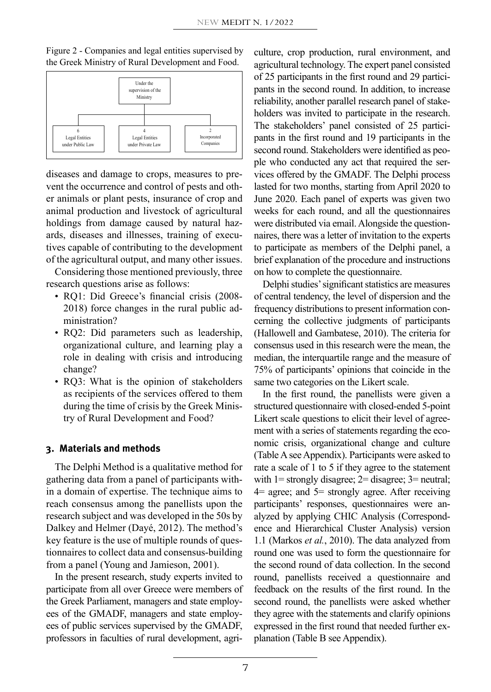Figure 2 - Companies and legal entities supervised by the Greek Ministry of Rural Development and Food.



diseases and damage to crops, measures to prevent the occurrence and control of pests and other animals or plant pests, insurance of crop and animal production and livestock of agricultural holdings from damage caused by natural hazards, diseases and illnesses, training of executives capable of contributing to the development of the agricultural output, and many other issues.

Considering those mentioned previously, three research questions arise as follows:

- RQ1: Did Greece's financial crisis (2008- 2018) force changes in the rural public administration?
- RQ2: Did parameters such as leadership, organizational culture, and learning play a role in dealing with crisis and introducing change?
- RQ3: What is the opinion of stakeholders as recipients of the services offered to them during the time of crisis by the Greek Ministry of Rural Development and Food?

#### **3. Materials and methods**

The Delphi Method is a qualitative method for gathering data from a panel of participants within a domain of expertise. The technique aims to reach consensus among the panellists upon the research subject and was developed in the 50s by Dalkey and Helmer (Dayé, 2012). The method's key feature is the use of multiple rounds of questionnaires to collect data and consensus-building from a panel (Young and Jamieson, 2001).

In the present research, study experts invited to participate from all over Greece were members of the Greek Parliament, managers and state employees of the GMADF, managers and state employees of public services supervised by the GMADF, professors in faculties of rural development, agriculture, crop production, rural environment, and agricultural technology. The expert panel consisted of 25 participants in the first round and 29 participants in the second round. In addition, to increase reliability, another parallel research panel of stakeholders was invited to participate in the research. The stakeholders' panel consisted of 25 participants in the first round and 19 participants in the second round. Stakeholders were identified as people who conducted any act that required the services offered by the GMADF. The Delphi process lasted for two months, starting from April 2020 to June 2020. Each panel of experts was given two weeks for each round, and all the questionnaires were distributed via email. Alongside the questionnaires, there was a letter of invitation to the experts to participate as members of the Delphi panel, a brief explanation of the procedure and instructions on how to complete the questionnaire.

Delphi studies' significant statistics are measures of central tendency, the level of dispersion and the frequency distributions to present information concerning the collective judgments of participants (Hallowell and Gambatese, 2010). The criteria for consensus used in this research were the mean, the median, the interquartile range and the measure of 75% of participants' opinions that coincide in the same two categories on the Likert scale.

In the first round, the panellists were given a structured questionnaire with closed-ended 5-point Likert scale questions to elicit their level of agreement with a series of statements regarding the economic crisis, organizational change and culture (Table A see Appendix). Participants were asked to rate a scale of 1 to 5 if they agree to the statement with 1= strongly disagree; 2= disagree; 3= neutral; 4= agree; and 5= strongly agree. After receiving participants' responses, questionnaires were analyzed by applying CHIC Analysis (Correspondence and Hierarchical Cluster Analysis) version 1.1 (Markos *et al.*, 2010). The data analyzed from round one was used to form the questionnaire for the second round of data collection. In the second round, panellists received a questionnaire and feedback on the results of the first round. In the second round, the panellists were asked whether they agree with the statements and clarify opinions expressed in the first round that needed further explanation (Table B see Appendix).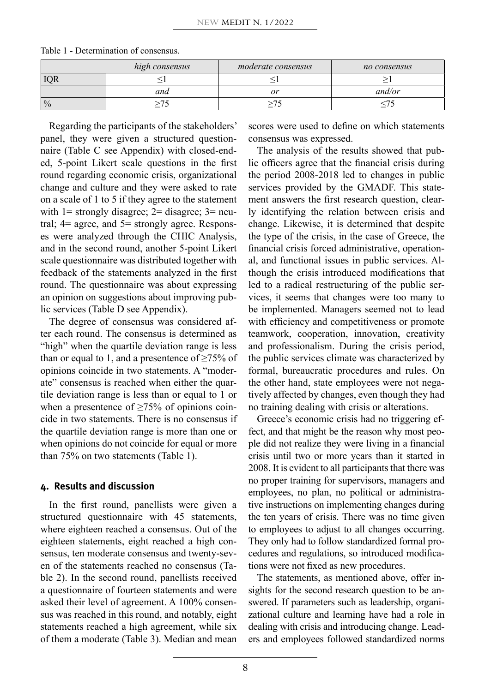|               | high consensus | moderate consensus | no consensus |
|---------------|----------------|--------------------|--------------|
| <b>IOR</b>    |                |                    |              |
|               | and            | or                 | and/or       |
| $\frac{0}{0}$ |                |                    |              |

Table 1 - Determination of consensus.

Regarding the participants of the stakeholders' panel, they were given a structured questionnaire (Table C see Appendix) with closed-ended, 5-point Likert scale questions in the first round regarding economic crisis, organizational change and culture and they were asked to rate on a scale of 1 to 5 if they agree to the statement with  $1=$  strongly disagree;  $2=$  disagree;  $3=$  neutral; 4= agree, and 5= strongly agree. Responses were analyzed through the CHIC Analysis, and in the second round, another 5-point Likert scale questionnaire was distributed together with feedback of the statements analyzed in the first round. The questionnaire was about expressing an opinion on suggestions about improving public services (Table D see Appendix).

The degree of consensus was considered after each round. The consensus is determined as "high" when the quartile deviation range is less than or equal to 1, and a presentence of  $\geq$ 75% of opinions coincide in two statements. A "moderate" consensus is reached when either the quartile deviation range is less than or equal to 1 or when a presentence of  $\geq 75\%$  of opinions coincide in two statements. There is no consensus if the quartile deviation range is more than one or when opinions do not coincide for equal or more than 75% on two statements (Table 1).

#### **4. Results and discussion**

In the first round, panellists were given a structured questionnaire with 45 statements, where eighteen reached a consensus. Out of the eighteen statements, eight reached a high consensus, ten moderate consensus and twenty-seven of the statements reached no consensus (Table 2). In the second round, panellists received a questionnaire of fourteen statements and were asked their level of agreement. A 100% consensus was reached in this round, and notably, eight statements reached a high agreement, while six of them a moderate (Table 3). Median and mean scores were used to define on which statements consensus was expressed.

The analysis of the results showed that public officers agree that the financial crisis during the period 2008-2018 led to changes in public services provided by the GMADF. This statement answers the first research question, clearly identifying the relation between crisis and change. Likewise, it is determined that despite the type of the crisis, in the case of Greece, the financial crisis forced administrative, operational, and functional issues in public services. Although the crisis introduced modifications that led to a radical restructuring of the public services, it seems that changes were too many to be implemented. Managers seemed not to lead with efficiency and competitiveness or promote teamwork, cooperation, innovation, creativity and professionalism. During the crisis period, the public services climate was characterized by formal, bureaucratic procedures and rules. On the other hand, state employees were not negatively affected by changes, even though they had no training dealing with crisis or alterations.

Greece's economic crisis had no triggering effect, and that might be the reason why most people did not realize they were living in a financial crisis until two or more years than it started in 2008. It is evident to all participants that there was no proper training for supervisors, managers and employees, no plan, no political or administrative instructions on implementing changes during the ten years of crisis. There was no time given to employees to adjust to all changes occurring. They only had to follow standardized formal procedures and regulations, so introduced modifications were not fixed as new procedures.

The statements, as mentioned above, offer insights for the second research question to be answered. If parameters such as leadership, organizational culture and learning have had a role in dealing with crisis and introducing change. Leaders and employees followed standardized norms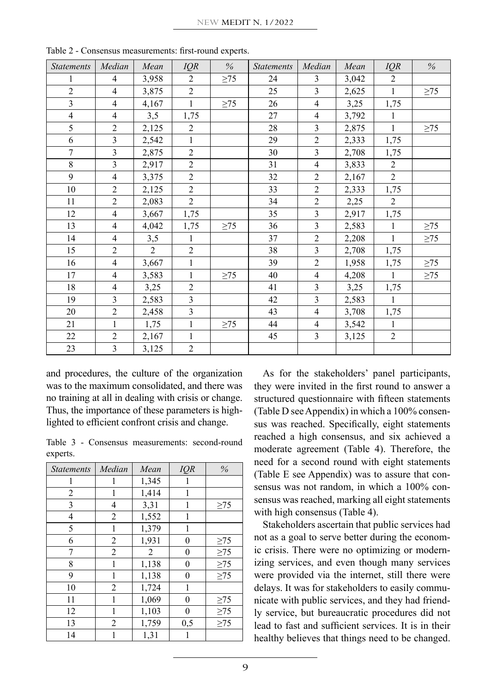| <b>Statements</b> | Median                  | Mean           | IQR            | $\%$      | <b>Statements</b> | Median                   | Mean  | IQR            | $\%$      |
|-------------------|-------------------------|----------------|----------------|-----------|-------------------|--------------------------|-------|----------------|-----------|
| 1                 | $\overline{4}$          | 3,958          | $\overline{2}$ | $\geq$ 75 | 24                | 3                        | 3,042 | $\overline{2}$ |           |
| $\overline{2}$    | 4                       | 3,875          | $\overline{2}$ |           | 25                | $\overline{3}$           | 2,625 | $\mathbf{1}$   | $\geq$ 75 |
| $\overline{3}$    | $\overline{4}$          | 4,167          | 1              | $\geq$ 75 | 26                | $\overline{4}$           | 3,25  | 1,75           |           |
| $\overline{4}$    | $\overline{4}$          | 3,5            | 1,75           |           | 27                | $\overline{\mathcal{L}}$ | 3,792 | 1              |           |
| 5                 | $\overline{2}$          | 2,125          | 2              |           | 28                | 3                        | 2,875 | $\mathbf{1}$   | $\geq$ 75 |
| 6                 | $\overline{\mathbf{3}}$ | 2,542          | $\mathbf{1}$   |           | 29                | $\overline{2}$           | 2,333 | 1,75           |           |
| $\overline{7}$    | 3                       | 2,875          | $\overline{2}$ |           | 30                | 3                        | 2,708 | 1,75           |           |
| 8                 | $\overline{\mathbf{3}}$ | 2,917          | $\overline{2}$ |           | 31                | $\overline{4}$           | 3,833 | $\overline{2}$ |           |
| 9                 | $\overline{4}$          | 3,375          | $\overline{2}$ |           | 32                | $\overline{c}$           | 2,167 | $\overline{c}$ |           |
| 10                | $\overline{2}$          | 2,125          | $\overline{2}$ |           | 33                | $\overline{2}$           | 2,333 | 1,75           |           |
| 11                | $\overline{2}$          | 2,083          | $\overline{2}$ |           | 34                | $\overline{2}$           | 2,25  | $\overline{2}$ |           |
| 12                | $\overline{4}$          | 3,667          | 1,75           |           | 35                | 3                        | 2,917 | 1,75           |           |
| 13                | $\overline{4}$          | 4,042          | 1,75           | $\geq$ 75 | 36                | 3                        | 2,583 | 1              | $\geq$ 75 |
| 14                | $\overline{4}$          | 3,5            | 1              |           | 37                | $\overline{c}$           | 2,208 | $\mathbf{1}$   | $\geq$ 75 |
| 15                | $\overline{2}$          | $\overline{2}$ | $\overline{2}$ |           | 38                | 3                        | 2,708 | 1,75           |           |
| 16                | $\overline{4}$          | 3,667          | $\mathbf{1}$   |           | 39                | $\overline{c}$           | 1,958 | 1,75           | $\geq$ 75 |
| 17                | $\overline{4}$          | 3,583          | $\mathbf{1}$   | $\geq$ 75 | 40                | $\overline{4}$           | 4,208 | $\mathbf{1}$   | $\geq$ 75 |
| 18                | $\overline{4}$          | 3,25           | $\overline{c}$ |           | 41                | 3                        | 3,25  | 1,75           |           |
| 19                | 3                       | 2,583          | $\mathfrak{Z}$ |           | 42                | 3                        | 2,583 | 1              |           |
| 20                | $\overline{c}$          | 2,458          | 3              |           | 43                | $\overline{4}$           | 3,708 | 1,75           |           |
| 21                | $\mathbf{1}$            | 1,75           | $\mathbf{1}$   | $\geq$ 75 | 44                | $\overline{4}$           | 3,542 | $\mathbf{1}$   |           |
| 22                | $\overline{c}$          | 2,167          | $\mathbf{1}$   |           | 45                | $\overline{3}$           | 3,125 | $\overline{c}$ |           |
| 23                | $\overline{\mathbf{3}}$ | 3,125          | $\overline{2}$ |           |                   |                          |       |                |           |

Table 2 - Consensus measurements: first-round experts.

and procedures, the culture of the organization was to the maximum consolidated, and there was no training at all in dealing with crisis or change. Thus, the importance of these parameters is highlighted to efficient confront crisis and change.

Table 3 - Consensus measurements: second-round experts.

| <b>Statements</b> | Median         | Mean  | IQR              | %         |
|-------------------|----------------|-------|------------------|-----------|
|                   |                | 1,345 | 1                |           |
| $\overline{2}$    | 1              | 1,414 | 1                |           |
| 3                 | 4              | 3,31  | 1                | $\geq$ 75 |
| 4                 | $\overline{c}$ | 1,552 | 1                |           |
| 5                 | 1              | 1,379 | 1                |           |
| 6                 | $\overline{2}$ | 1,931 | $\overline{0}$   | $\geq$ 75 |
| 7                 | $\overline{2}$ | 2     | $\boldsymbol{0}$ | $\geq$ 75 |
| 8                 | 1              | 1,138 | $\boldsymbol{0}$ | $\geq$ 75 |
| 9                 | 1              | 1,138 | $\boldsymbol{0}$ | $\geq$ 75 |
| 10                | 2              | 1,724 | 1                |           |
| 11                | 1              | 1,069 | $\mathbf{0}$     | $\geq$ 75 |
| 12                | 1              | 1,103 | 0                | $\geq$ 75 |
| 13                | $\overline{2}$ | 1,759 | 0,5              | $\geq$ 75 |
| 14                | 1              | 1,31  | 1                |           |

As for the stakeholders' panel participants, they were invited in the first round to answer a structured questionnaire with fifteen statements (Table D see Appendix) in which a 100% consensus was reached. Specifically, eight statements reached a high consensus, and six achieved a moderate agreement (Table 4). Therefore, the need for a second round with eight statements (Table E see Appendix) was to assure that consensus was not random, in which a 100% consensus was reached, marking all eight statements with high consensus (Table 4).

Stakeholders ascertain that public services had not as a goal to serve better during the economic crisis. There were no optimizing or modernizing services, and even though many services were provided via the internet, still there were delays. It was for stakeholders to easily communicate with public services, and they had friendly service, but bureaucratic procedures did not lead to fast and sufficient services. It is in their healthy believes that things need to be changed.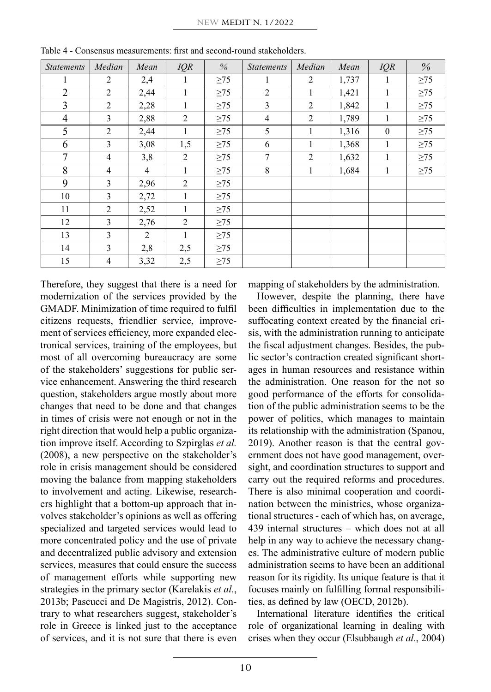| <b>Statements</b> | Median         | Mean           | IQR          | $\%$      | <b>Statements</b> | Median       | Mean  | IQR          | $\frac{0}{0}$ |
|-------------------|----------------|----------------|--------------|-----------|-------------------|--------------|-------|--------------|---------------|
| 1                 | 2              | 2,4            |              | $\geq$ 75 | 1                 | 2            | 1,737 | 1            | $\geq$ 75     |
| $\overline{2}$    | 2              | 2,44           | 1            | $\geq$ 75 | 2                 | $\mathbf{1}$ | 1,421 | 1            | $\geq$ 75     |
| 3                 | 2              | 2,28           | 1            | $\geq$ 75 | 3                 | 2            | 1,842 | 1            | $\geq$ 75     |
| $\overline{4}$    | 3              | 2,88           | 2            | $\geq$ 75 | $\overline{4}$    | 2            | 1,789 | 1            | $\geq$ 75     |
| 5                 | 2              | 2,44           | 1            | $\geq$ 75 | 5                 | 1            | 1,316 | $\mathbf{0}$ | $\geq$ 75     |
| 6                 | 3              | 3,08           | 1,5          | $\geq$ 75 | 6                 | 1            | 1,368 | 1            | $\geq$ 75     |
| 7                 | $\overline{4}$ | 3,8            | 2            | $\geq$ 75 | $\tau$            | 2            | 1,632 | 1            | $\geq$ 75     |
| 8                 | $\overline{4}$ | $\overline{4}$ | 1            | $\geq$ 75 | 8                 | 1            | 1,684 | 1            | $\geq$ 75     |
| 9                 | 3              | 2,96           | 2            | $\geq$ 75 |                   |              |       |              |               |
| 10                | 3              | 2,72           | 1            | $\geq$ 75 |                   |              |       |              |               |
| 11                | $\overline{2}$ | 2,52           | 1            | $\geq$ 75 |                   |              |       |              |               |
| 12                | 3              | 2,76           | 2            | $\geq$ 75 |                   |              |       |              |               |
| 13                | 3              | 2              | $\mathbf{1}$ | $\geq$ 75 |                   |              |       |              |               |
| 14                | 3              | 2,8            | 2,5          | $\geq$ 75 |                   |              |       |              |               |
| 15                | $\overline{4}$ | 3,32           | 2,5          | $\geq$ 75 |                   |              |       |              |               |

Table 4 - Consensus measurements: first and second-round stakeholders.

Therefore, they suggest that there is a need for modernization of the services provided by the GMADF. Minimization of time required to fulfil citizens requests, friendlier service, improvement of services efficiency, more expanded electronical services, training of the employees, but most of all overcoming bureaucracy are some of the stakeholders' suggestions for public service enhancement. Answering the third research question, stakeholders argue mostly about more changes that need to be done and that changes in times of crisis were not enough or not in the right direction that would help a public organization improve itself. According to Szpirglas *et al.* (2008), a new perspective on the stakeholder's role in crisis management should be considered moving the balance from mapping stakeholders to involvement and acting. Likewise, researchers highlight that a bottom-up approach that involves stakeholder's opinions as well as offering specialized and targeted services would lead to more concentrated policy and the use of private and decentralized public advisory and extension services, measures that could ensure the success of management efforts while supporting new strategies in the primary sector (Karelakis *et al.*, 2013b; Pascucci and De Magistris, 2012). Contrary to what researchers suggest, stakeholder's role in Greece is linked just to the acceptance of services, and it is not sure that there is even

mapping of stakeholders by the administration.

However, despite the planning, there have been difficulties in implementation due to the suffocating context created by the financial crisis, with the administration running to anticipate the fiscal adjustment changes. Besides, the public sector's contraction created significant shortages in human resources and resistance within the administration. One reason for the not so good performance of the efforts for consolidation of the public administration seems to be the power of politics, which manages to maintain its relationship with the administration (Spanou, 2019). Another reason is that the central government does not have good management, oversight, and coordination structures to support and carry out the required reforms and procedures. There is also minimal cooperation and coordination between the ministries, whose organizational structures - each of which has, on average, 439 internal structures – which does not at all help in any way to achieve the necessary changes. The administrative culture of modern public administration seems to have been an additional reason for its rigidity. Its unique feature is that it focuses mainly on fulfilling formal responsibilities, as defined by law (OECD, 2012b).

International literature identifies the critical role of organizational learning in dealing with crises when they occur (Elsubbaugh *et al.*, 2004)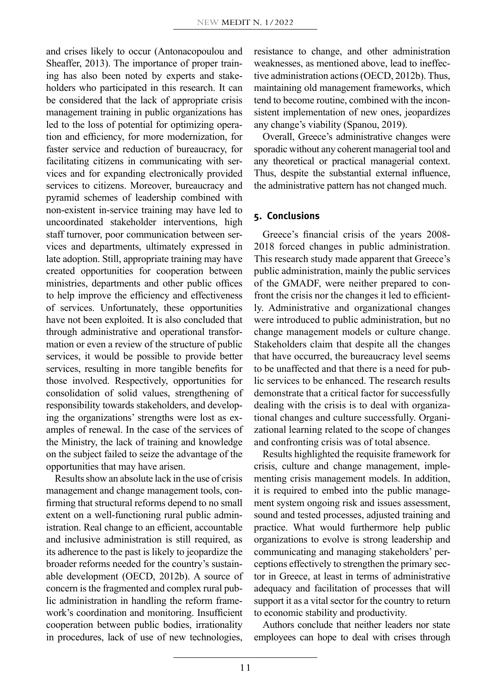and crises likely to occur (Antonacopoulou and Sheaffer, 2013). The importance of proper training has also been noted by experts and stakeholders who participated in this research. It can be considered that the lack of appropriate crisis management training in public organizations has led to the loss of potential for optimizing operation and efficiency, for more modernization, for faster service and reduction of bureaucracy, for facilitating citizens in communicating with services and for expanding electronically provided services to citizens. Moreover, bureaucracy and pyramid schemes of leadership combined with non-existent in-service training may have led to uncoordinated stakeholder interventions, high staff turnover, poor communication between services and departments, ultimately expressed in late adoption. Still, appropriate training may have created opportunities for cooperation between ministries, departments and other public offices to help improve the efficiency and effectiveness of services. Unfortunately, these opportunities have not been exploited. It is also concluded that through administrative and operational transformation or even a review of the structure of public services, it would be possible to provide better services, resulting in more tangible benefits for those involved. Respectively, opportunities for consolidation of solid values, strengthening of responsibility towards stakeholders, and developing the organizations' strengths were lost as examples of renewal. In the case of the services of the Ministry, the lack of training and knowledge on the subject failed to seize the advantage of the opportunities that may have arisen.

Results show an absolute lack in the use of crisis management and change management tools, confirming that structural reforms depend to no small extent on a well-functioning rural public administration. Real change to an efficient, accountable and inclusive administration is still required, as its adherence to the past is likely to jeopardize the broader reforms needed for the country's sustainable development (OECD, 2012b). A source of concern is the fragmented and complex rural public administration in handling the reform framework's coordination and monitoring. Insufficient cooperation between public bodies, irrationality in procedures, lack of use of new technologies,

resistance to change, and other administration weaknesses, as mentioned above, lead to ineffective administration actions (OECD, 2012b). Thus, maintaining old management frameworks, which tend to become routine, combined with the inconsistent implementation of new ones, jeopardizes any change's viability (Spanou, 2019).

Overall, Greece's administrative changes were sporadic without any coherent managerial tool and any theoretical or practical managerial context. Thus, despite the substantial external influence, the administrative pattern has not changed much.

#### **5. Conclusions**

Greece's financial crisis of the years 2008- 2018 forced changes in public administration. This research study made apparent that Greece's public administration, mainly the public services of the GMADF, were neither prepared to confront the crisis nor the changes it led to efficiently. Administrative and organizational changes were introduced to public administration, but no change management models or culture change. Stakeholders claim that despite all the changes that have occurred, the bureaucracy level seems to be unaffected and that there is a need for public services to be enhanced. The research results demonstrate that a critical factor for successfully dealing with the crisis is to deal with organizational changes and culture successfully. Organizational learning related to the scope of changes and confronting crisis was of total absence.

Results highlighted the requisite framework for crisis, culture and change management, implementing crisis management models. In addition, it is required to embed into the public management system ongoing risk and issues assessment, sound and tested processes, adjusted training and practice. What would furthermore help public organizations to evolve is strong leadership and communicating and managing stakeholders' perceptions effectively to strengthen the primary sector in Greece, at least in terms of administrative adequacy and facilitation of processes that will support it as a vital sector for the country to return to economic stability and productivity.

Authors conclude that neither leaders nor state employees can hope to deal with crises through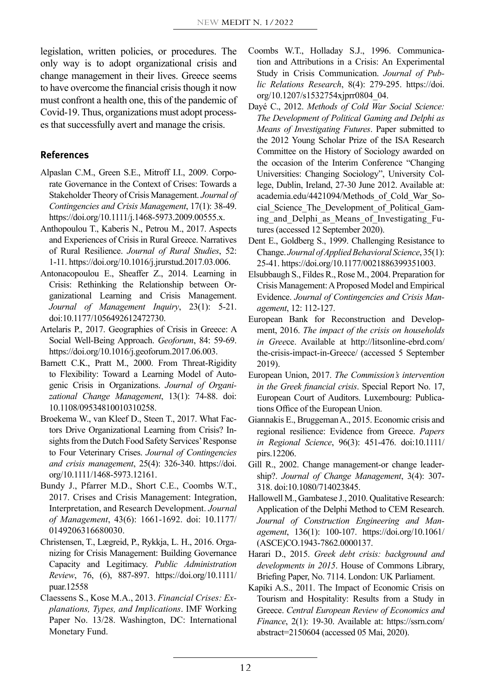legislation, written policies, or procedures. The only way is to adopt organizational crisis and change management in their lives. Greece seems to have overcome the financial crisis though it now must confront a health one, this of the pandemic of Covid-19. Thus, organizations must adopt processes that successfully avert and manage the crisis.

#### **References**

- Alpaslan C.M., Green S.E., Mitroff I.I., 2009. Corporate Governance in the Context of Crises: Towards a Stakeholder Theory of Crisis Management. *Journal of Contingencies and Crisis Management*, 17(1): 38-49. https://doi.org/10.1111/j.1468-5973.2009.00555.x.
- Anthopoulou T., Kaberis N., Petrou M., 2017. Aspects and Experiences of Crisis in Rural Greece. Narratives of Rural Resilience. *Journal of Rural Studies*, 52: 1-11. https://doi.org/10.1016/j.jrurstud.2017.03.006.
- Antonacopoulou E., Sheaffer Z., 2014. Learning in Crisis: Rethinking the Relationship between Organizational Learning and Crisis Management. *Journal of Management Inquiry*, 23(1): 5-21. doi:10.1177/1056492612472730.
- Artelaris P., 2017. Geographies of Crisis in Greece: A Social Well-Being Approach. *Geoforum*, 84: 59-69. [https://doi.org/10.1016/j.geoforum.2017.06.003.](https://doi.org/10.1016/j.geoforum.2017.06.003)
- Barnett C.K., Pratt M., 2000. From Threat-Rigidity to Flexibility: Toward a Learning Model of Autogenic Crisis in Organizations. *Journal of Organizational Change Management*, 13(1): 74-88. doi: 10.1108/09534810010310258.
- Broekema W., van Kleef D., Steen T., 2017. What Factors Drive Organizational Learning from Crisis? Insights from the Dutch Food Safety Services' Response to Four Veterinary Crises. *Journal of Contingencies and crisis management*, 25(4): 326-340. https://doi. org/10.1111/1468-5973.12161.
- Bundy J., Pfarrer M.D., Short C.E., Coombs W.T., 2017. Crises and Crisis Management: Integration, Interpretation, and Research Development. *Journal of Management*, 43(6): 1661-1692. doi: 10.1177/ 0149206316680030.
- Christensen, T., Lægreid, P., Rykkja, L. H., 2016. Organizing for Crisis Management: Building Governance Capacity and Legitimacy. *Public Administration Review*, 76, (6), 887-897. https://doi.org/10.1111/ puar.12558
- Claessens S., Kose M.A., 2013. *Financial Crises: Explanations, Types, and Implications*. IMF Working Paper No. 13/28. Washington, DC: International Monetary Fund.
- Coombs W.T., Holladay S.J., 1996. Communication and Attributions in a Crisis: An Experimental Study in Crisis Communication. *Journal of Public Relations Research*, 8(4): 279-295. https://doi. org/10.1207/s1532754xjprr0804\_04.
- Dayé C., 2012. *Methods of Cold War Social Science: The Development of Political Gaming and Delphi as Means of Investigating Futures*. Paper submitted to the 2012 Young Scholar Prize of the ISA Research Committee on the History of Sociology awarded on the occasion of the Interim Conference "Changing Universities: Changing Sociology", University College, Dublin, Ireland, 27-30 June 2012. Available at: academia.edu/4421094/Methods\_of\_Cold\_War\_Social\_Science\_The\_Development\_of\_Political\_Gaming and Delphi as Means of Investigating Futures (accessed 12 September 2020).
- Dent E., Goldberg S., 1999. Challenging Resistance to Change. *Journal of Applied Behavioral Science*, 35(1): 25-41. https://doi.org/10.1177/0021886399351003.
- Elsubbaugh S., Fildes R., Rose M., 2004. Preparation for Crisis Management: A Proposed Model and Empirical Evidence. *Journal of Contingencies and Crisis Management*, 12: 112-127.
- European Bank for Reconstruction and Development, 2016. *The impact of the crisis on households in Gree*ce. Available at http://litsonline-ebrd.com/ the-crisis-impact-in-Greece/ (accessed 5 September 2019).
- European Union, 2017. *The Commission's intervention in the Greek financial crisis*. Special Report No. 17, European Court of Auditors. Luxembourg: Publications Office of the European Union.
- Giannakis E., Bruggeman A., 2015. Economic crisis and regional resilience: Evidence from Greece. *Papers in Regional Science*, 96(3): 451-476. doi:10.1111/ pirs.12206.
- Gill R., 2002. Change management-or change leadership?. *Journal of Change Management*, 3(4): 307- 318. doi:10.1080/714023845.
- Hallowell M., Gambatese J., 2010. Qualitative Research: Application of the Delphi Method to CEM Research. *Journal of Construction Engineering and Management*, 136(1): 100-107. [https://doi.org/10.1061/](https://doi.org/10.1061/(ASCE)CO.1943-) [\(ASCE\)CO.1943-7](https://doi.org/10.1061/(ASCE)CO.1943-)862.0000137.
- Harari D., 2015. *Greek debt crisis: background and developments in 2015*. House of Commons Library, Briefing Paper, No. 7114. London: UK Parliament.
- Kapiki A.S., 2011. The Impact of Economic Crisis on Tourism and Hospitality: Results from a Study in Greece. *Central European Review of Economics and Finance*, 2(1): 19-30. Available at: https://ssrn.com/ abstract=2150604 (accessed 05 Mai, 2020).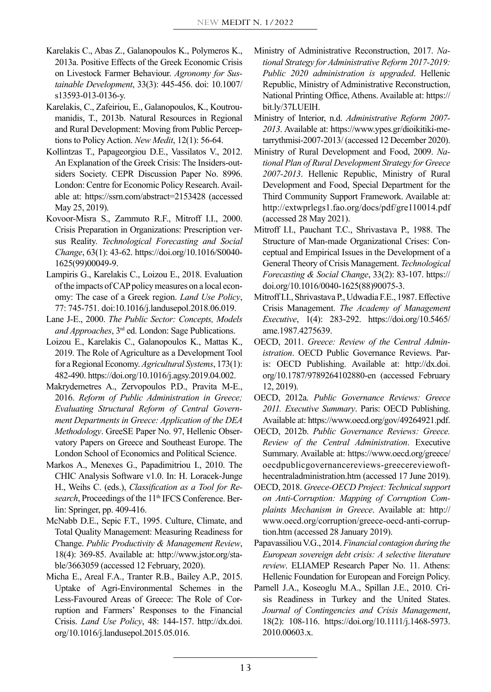- Karelakis C., Abas Z., Galanopoulos K., Polymeros K., 2013a. Positive Effects of the Greek Economic Crisis on Livestock Farmer Behaviour. *Agronomy for Sustainable Development*, 33(3): 445-456. doi: 10.1007/ s13593-013-0136-y.
- Karelakis, C., Zafeiriou, E., Galanopoulos, K., Koutroumanidis, T., 2013b. Natural Resources in Regional and Rural Development: Moving from Public Perceptions to Policy Action. *New Medit*, 12(1): 56-64.
- Kollintzas Τ., Papageorgiou D.E., Vassilatos V., 2012. An Explanation of the Greek Crisis: The Insiders-outsiders Society. CEPR Discussion Paper No. 8996. London: Centre for Economic Policy Research. Available at: https://ssrn.com/abstract=2153428 (accessed May 25, 2019).
- Kovoor-Misra S., Zammuto R.F., Mitroff I.I., 2000. Crisis Preparation in Organizations: Prescription versus Reality. *Technological Forecasting and Social Change*, 63(1): 43-62. https://doi.org/10.1016/S0040- 1625(99)00049-9.
- Lampiris G., Karelakis C., Loizou E., 2018. Evaluation of the impacts of CAP policy measures on a local economy: The case of a Greek region. *Land Use Policy*, 77: 745-751. doi:10.1016/j.landusepol.2018.06.019.
- Lane J-E., 2000. *The Public Sector: Concepts, Models and Approaches*, 3rd ed. London: Sage Publications.
- Loizou E., Karelakis C., Galanopoulos K., Mattas K., 2019. The Role of Agriculture as a Development Tool for a Regional Economy. *Agricultural Systems*, 173(1): 482-490. https://doi.org/10.1016/j.agsy.2019.04.002.
- Makrydemetres A., Zervopoulos P.D., Pravita M-E., 2016. *Reform of Public Administration in Greece; Evaluating Structural Reform of Central Government Departments in Greece: Application of the DEA Methodology*. GreeSE Paper No. 97, Hellenic Observatory Papers on Greece and Southeast Europe. The London School of Economics and Political Science.
- Markos A., Menexes G., Papadimitriou I., 2010. The CHIC Analysis Software v1.0. In: H. Loracek-Junge H., Weihs C. (eds.), *Classification as a Tool for Re*search, Proceedings of the 11<sup>th</sup> IFCS Conference. Berlin: Springer, pp. 409-416.
- McNabb D.E., Sepic F.T., 1995. Culture, Climate, and Total Quality Management: Measuring Readiness for Change. *Public Productivity & Management Review*, 18(4): 369-85. Available at: http://www.jstor.org/stable/3663059 (accessed 12 February, 2020).
- Micha E., Areal F.A., Tranter R.B., Bailey A.P., 2015. Uptake of Agri-Environmental Schemes in the Less-Favoured Areas of Greece: The Role of Corruption and Farmers' Responses to the Financial Crisis. *Land Use Policy*, 48: 144-157. http://dx.doi. org/10.1016/j.landusepol.2015.05.016.
- Ministry of Administrative Reconstruction, 2017. *National Strategy for Administrative Reform 2017-2019: Public 2020 administration is upgraded*. Hellenic Republic, Ministry of Administrative Reconstruction, National Printing Office, Athens. Available at: https:// bit.ly/37LUElH.
- Ministry of Interior, n.d. *Administrative Reform 2007- 2013*. Available at: https://www.ypes.gr/dioikitiki-metarrythmisi-2007-2013/ (accessed 12 December 2020).
- Ministry of Rural Development and Food, 2009. *National Plan of Rural Development Strategy for Greece 2007-2013*. Hellenic Republic, Ministry of Rural Development and Food, Special Department for the Third Community Support Framework. Available at: http://extwprlegs1.fao.org/docs/pdf/gre110014.pdf (accessed 28 May 2021).
- Mitroff I.I., Pauchant T.C., Shrivastava P., 1988. The Structure of Man-made Organizational Crises: Conceptual and Empirical Issues in the Development of a General Theory of Crisis Management. *Technological Forecasting & Social Change*, 33(2): 83-107. https:// doi.org/10.1016/0040-1625(88)90075-3.
- Mitroff I.I., Shrivastava P., Udwadia F.E., 1987. Effective Crisis Management. *The Academy of Management Executive*, 1(4): 283-292. [https://doi.org/10.5465/](https://doi.org/10.5465/ame.1987.4275639) [ame.1987.4275639](https://doi.org/10.5465/ame.1987.4275639).
- OECD, 2011. *Greece: Review of the Central Administration*. OECD Public Governance Reviews. Paris: OECD Publishing. Available at: http://dx.doi. org/10.1787/9789264102880-en (accessed February 12, 2019).
- OECD, 2012a. *Public Governance Reviews: Greece 2011. Executive Summary*. Paris: OECD Publishing. Available at: [https://www.oecd.org/gov/49264921.pdf.](https://www.oecd.org/gov/49264921.pdf)
- OECD, 2012b. *Public Governance Reviews: Greece. Review of the Central Administration*. Executive Summary. Available at: https://www.oecd.org/greece/ oecdpublicgovernancereviews-greecereviewofthecentraladministration.htm (accessed 17 June 2019).
- OECD, 2018. *Greece-OECD Project: Technical support on Anti-Corruption: Mapping of Corruption Complaints Mechanism in Greece*. Available at: http:// www.oecd.org/corruption/greece-oecd-anti-corruption.htm (accessed 28 January 2019).
- Papavassiliou V.G., 2014. *Financial contagion during the European sovereign debt crisis: A selective literature review*. ELIAMEP Research Paper Νο. 11. Athens: Hellenic Foundation for European and Foreign Policy.
- Parnell J.A., Koseoglu M.A., Spillan J.E., 2010. Crisis Readiness in Turkey and the United States. *Journal of Contingencies and Crisis Management*, 18(2): 108-116. https://doi.org/10.1111/j.1468-5973. 2010.00603.x.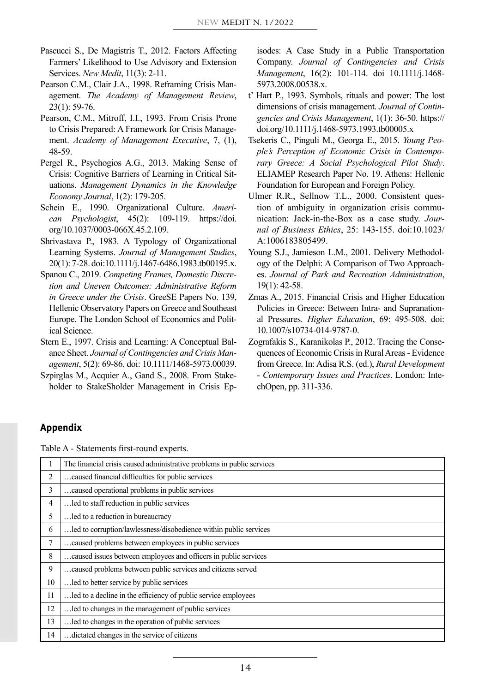- Pascucci S., De Magistris T., 2012. Factors Affecting Farmers' Likelihood to Use Advisory and Extension Services. *New Medit*, 11(3): 2-11.
- Pearson C.M., Clair J.A., 1998. Reframing Crisis Management. *The Academy of Management Review*, 23(1): 59-76.
- Pearson, C.M., Mitroff, I.I., 1993. From Crisis Prone to Crisis Prepared: A Framework for Crisis Management. *Academy of Management Executive*, 7, (1), 48-59.
- Pergel R., Psychogios A.G., 2013. Making Sense of Crisis: Cognitive Barriers of Learning in Critical Situations. *Management Dynamics in the Knowledge Economy Journal*, 1(2): 179-205.
- Schein E., 1990. Organizational Culture. *American Psychologist*, 45(2): 109-119. [https://doi.](https://doi.org/10.1037/0003-066X.45.2.109) [org/10.1037/0003-066X.45.2.109.](https://doi.org/10.1037/0003-066X.45.2.109)
- Shrivastava P., 1983. A Typology of Organizational Learning Systems. *Journal of Management Studies*, 20(1): 7-28. doi:10.1111/j.1467-6486.1983.tb00195.x.
- Spanou C., 2019. *Competing Frames, Domestic Discretion and Uneven Outcomes: Administrative Reform in Greece under the Crisis*. GreeSE Papers No. 139, Hellenic Observatory Papers on Greece and Southeast Europe. The London School of Economics and Political Science.
- Stern E., 1997. Crisis and Learning: A Conceptual Balance Sheet. *Journal of Contingencies and Crisis Management*, 5(2): 69-86. doi: 10.1111/1468-5973.00039.
- Szpirglas M., Acquier A., Gand S., 2008. From Stakeholder to StakeSholder Management in Crisis Ep-

isodes: A Case Study in a Public Transportation Company. *Journal of Contingencies and Crisis Management*, 16(2): 101-114. doi 10.1111/j.1468- 5973.2008.00538.x.

- t' Hart P., 1993. Symbols, rituals and power: The lost dimensions of crisis management. *Journal of Contingencies and Crisis Management*, 1(1): 36-50. https:// doi.org/10.1111/j.1468-5973.1993.tb00005.x
- Tsekeris C., Pinguli M., Georga E., 2015. *Young People's Perception of Economic Crisis in Contemporary Greece: A Social Psychological Pilot Study*. ELIAMEP Research Paper Νο. 19. Athens: Hellenic Foundation for European and Foreign Policy.
- Ulmer R.R., Sellnow T.L., 2000. Consistent question of ambiguity in organization crisis communication: Jack-in-the-Box as a case study. *Journal of Business Ethics*, 25: 143-155. doi:10.1023/ A:1006183805499.
- Young S.J., Jamieson L.M., 2001. Delivery Methodology of the Delphi: A Comparison of Two Approaches. *Journal of Park and Recreation Administration*, 19(1): 42-58.
- Zmas A., 2015. Financial Crisis and Higher Education Policies in Greece: Between Intra- and Supranational Pressures. *Higher Education*, 69: 495-508. doi: 10.1007/s10734-014-9787-0.
- Zografakis S., Karanikolas P., 2012. Tracing the Consequences of Economic Crisis in Rural Areas - Evidence from Greece. In: Adisa R.S. (ed.), *Rural Development - Contemporary Issues and Practices*. London: IntechOpen, pp. 311-336.

## **Appendix**

Table A - Statements first-round experts.

|    | The financial crisis caused administrative problems in public services |
|----|------------------------------------------------------------------------|
| 2  | caused financial difficulties for public services                      |
| 3  | caused operational problems in public services.                        |
| 4  | led to staff reduction in public services                              |
| 5  | led to a reduction in bureaucracy                                      |
| 6  | led to corruption/lawlessness/disobedience within public services      |
| 7  | caused problems between employees in public services.                  |
| 8  | caused issues between employees and officers in public services        |
| 9  | caused problems between public services and citizens served            |
| 10 | led to better service by public services                               |
| 11 | led to a decline in the efficiency of public service employees         |
| 12 | led to changes in the management of public services.                   |
| 13 | led to changes in the operation of public services                     |
| 14 | dictated changes in the service of citizens.                           |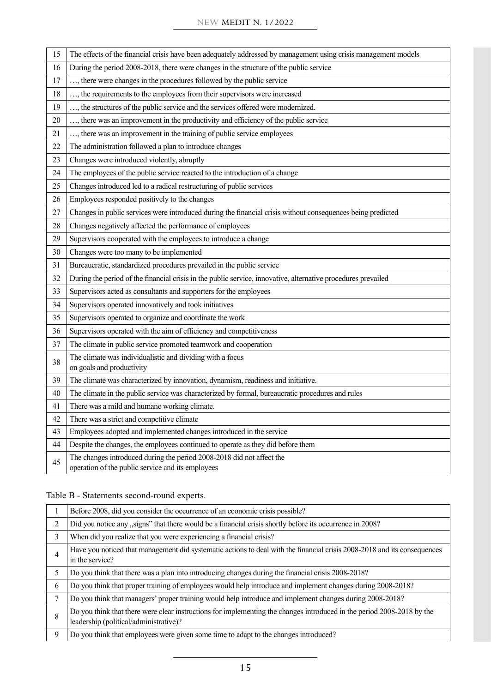#### NEW MEDIT N. 1/2022

| 15 | The effects of the financial crisis have been adequately addressed by management using crisis management models            |
|----|----------------------------------------------------------------------------------------------------------------------------|
| 16 | During the period 2008-2018, there were changes in the structure of the public service                                     |
| 17 | , there were changes in the procedures followed by the public service                                                      |
| 18 | , the requirements to the employees from their supervisors were increased                                                  |
| 19 | , the structures of the public service and the services offered were modernized.                                           |
| 20 | , there was an improvement in the productivity and efficiency of the public service                                        |
| 21 | , there was an improvement in the training of public service employees                                                     |
| 22 | The administration followed a plan to introduce changes                                                                    |
| 23 | Changes were introduced violently, abruptly                                                                                |
| 24 | The employees of the public service reacted to the introduction of a change                                                |
| 25 | Changes introduced led to a radical restructuring of public services                                                       |
| 26 | Employees responded positively to the changes                                                                              |
| 27 | Changes in public services were introduced during the financial crisis without consequences being predicted                |
| 28 | Changes negatively affected the performance of employees                                                                   |
| 29 | Supervisors cooperated with the employees to introduce a change                                                            |
| 30 | Changes were too many to be implemented                                                                                    |
| 31 | Bureaucratic, standardized procedures prevailed in the public service                                                      |
| 32 | During the period of the financial crisis in the public service, innovative, alternative procedures prevailed              |
| 33 | Supervisors acted as consultants and supporters for the employees                                                          |
| 34 | Supervisors operated innovatively and took initiatives                                                                     |
| 35 | Supervisors operated to organize and coordinate the work                                                                   |
| 36 | Supervisors operated with the aim of efficiency and competitiveness                                                        |
| 37 | The climate in public service promoted teamwork and cooperation                                                            |
| 38 | The climate was individualistic and dividing with a focus<br>on goals and productivity                                     |
| 39 | The climate was characterized by innovation, dynamism, readiness and initiative.                                           |
| 40 | The climate in the public service was characterized by formal, bureaucratic procedures and rules                           |
| 41 | There was a mild and humane working climate.                                                                               |
| 42 | There was a strict and competitive climate                                                                                 |
| 43 | Employees adopted and implemented changes introduced in the service                                                        |
| 44 | Despite the changes, the employees continued to operate as they did before them                                            |
| 45 | The changes introduced during the period 2008-2018 did not affect the<br>operation of the public service and its employees |

# Table B - Statements second-round experts.

|                | Before 2008, did you consider the occurrence of an economic crisis possible?                                                                                     |
|----------------|------------------------------------------------------------------------------------------------------------------------------------------------------------------|
| 2              | Did you notice any "signs" that there would be a financial crisis shortly before its occurrence in 2008?                                                         |
| 3              | When did you realize that you were experiencing a financial crisis?                                                                                              |
| $\overline{4}$ | Have you noticed that management did systematic actions to deal with the financial crisis 2008-2018 and its consequences<br>in the service?                      |
| 5              | Do you think that there was a plan into introducing changes during the financial crisis 2008-2018?                                                               |
| 6              | Do you think that proper training of employees would help introduce and implement changes during 2008-2018?                                                      |
| 7              | Do you think that managers' proper training would help introduce and implement changes during 2008-2018?                                                         |
| 8              | Do you think that there were clear instructions for implementing the changes introduced in the period 2008-2018 by the<br>leadership (political/administrative)? |
| 9              | Do you think that employees were given some time to adapt to the changes introduced?                                                                             |